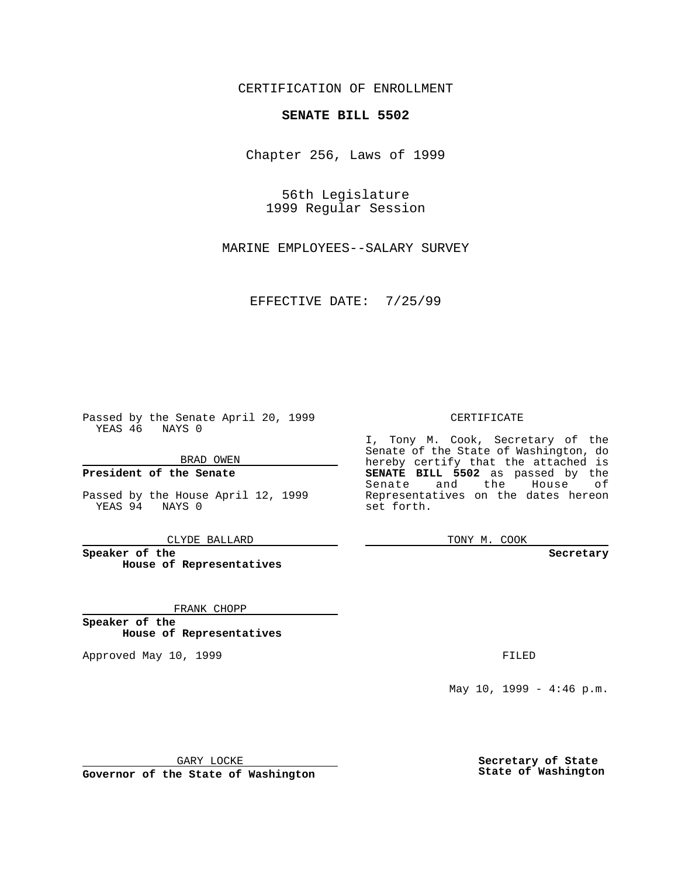CERTIFICATION OF ENROLLMENT

# **SENATE BILL 5502**

Chapter 256, Laws of 1999

56th Legislature 1999 Regular Session

MARINE EMPLOYEES--SALARY SURVEY

EFFECTIVE DATE: 7/25/99

Passed by the Senate April 20, 1999 YEAS 46 NAYS 0

BRAD OWEN

**President of the Senate**

Passed by the House April 12, 1999 YEAS 94 NAYS 0

CLYDE BALLARD

**Speaker of the House of Representatives**

FRANK CHOPP

**Speaker of the House of Representatives**

Approved May 10, 1999 **FILED** 

### CERTIFICATE

I, Tony M. Cook, Secretary of the Senate of the State of Washington, do hereby certify that the attached is **SENATE BILL 5502** as passed by the Senate and the House of Representatives on the dates hereon set forth.

TONY M. COOK

#### **Secretary**

May 10, 1999 - 4:46 p.m.

GARY LOCKE

**Governor of the State of Washington**

**Secretary of State State of Washington**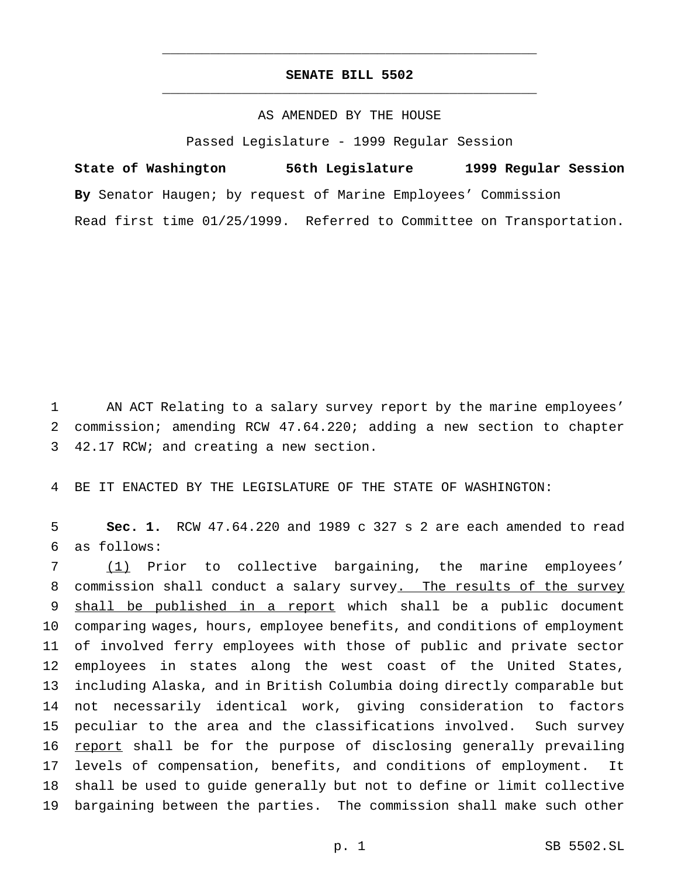## **SENATE BILL 5502** \_\_\_\_\_\_\_\_\_\_\_\_\_\_\_\_\_\_\_\_\_\_\_\_\_\_\_\_\_\_\_\_\_\_\_\_\_\_\_\_\_\_\_\_\_\_\_

\_\_\_\_\_\_\_\_\_\_\_\_\_\_\_\_\_\_\_\_\_\_\_\_\_\_\_\_\_\_\_\_\_\_\_\_\_\_\_\_\_\_\_\_\_\_\_

### AS AMENDED BY THE HOUSE

Passed Legislature - 1999 Regular Session

**State of Washington 56th Legislature 1999 Regular Session By** Senator Haugen; by request of Marine Employees' Commission Read first time 01/25/1999. Referred to Committee on Transportation.

1 AN ACT Relating to a salary survey report by the marine employees' 2 commission; amending RCW 47.64.220; adding a new section to chapter 3 42.17 RCW; and creating a new section.

4 BE IT ENACTED BY THE LEGISLATURE OF THE STATE OF WASHINGTON:

5 **Sec. 1.** RCW 47.64.220 and 1989 c 327 s 2 are each amended to read 6 as follows:

 (1) Prior to collective bargaining, the marine employees' 8 commission shall conduct a salary survey. The results of the survey 9 shall be published in a report which shall be a public document comparing wages, hours, employee benefits, and conditions of employment of involved ferry employees with those of public and private sector employees in states along the west coast of the United States, including Alaska, and in British Columbia doing directly comparable but not necessarily identical work, giving consideration to factors peculiar to the area and the classifications involved. Such survey 16 report shall be for the purpose of disclosing generally prevailing levels of compensation, benefits, and conditions of employment. It shall be used to guide generally but not to define or limit collective bargaining between the parties. The commission shall make such other